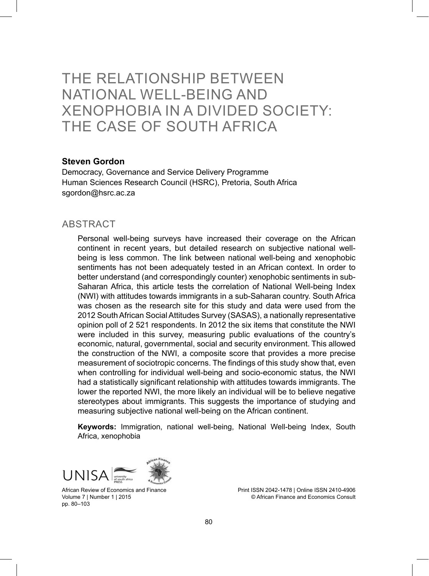# THE RELATIONSHIP BETWEEN NATIONAL WELL-BEING AND XENOPHOBIA IN A DIVIDED SOCIETY: THE CASE OF SOUTH AFRICA

#### **Steven Gordon**

Democracy, Governance and Service Delivery Programme Human Sciences Research Council (HSRC), Pretoria, South Africa sgordon@hsrc.ac.za

#### **ABSTRACT**

Personal well-being surveys have increased their coverage on the African continent in recent years, but detailed research on subjective national wellbeing is less common. The link between national well-being and xenophobic sentiments has not been adequately tested in an African context. In order to better understand (and correspondingly counter) xenophobic sentiments in sub-Saharan Africa, this article tests the correlation of National Well-being Index (NWI) with attitudes towards immigrants in a sub-Saharan country. South Africa was chosen as the research site for this study and data were used from the 2012 South African Social Attitudes Survey (SASAS), a nationally representative opinion poll of 2 521 respondents. In 2012 the six items that constitute the NWI were included in this survey, measuring public evaluations of the country's economic, natural, governmental, social and security environment. This allowed the construction of the NWI, a composite score that provides a more precise measurement of sociotropic concerns. The findings of this study show that, even when controlling for individual well-being and socio-economic status, the NWI had a statistically significant relationship with attitudes towards immigrants. The lower the reported NWI, the more likely an individual will be to believe negative stereotypes about immigrants. This suggests the importance of studying and measuring subjective national well-being on the African continent.

**Keywords:** Immigration, national well-being, National Well-being Index, South Africa, xenophobia



African Review of Economics and Finance Volume 7 | Number 1 | 2015 pp. 80–103

Print ISSN 2042-1478 | Online ISSN 2410-4906 © African Finance and Economics Consult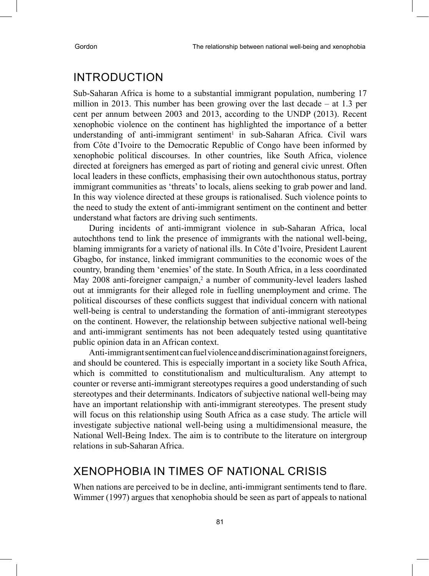### INTRODUCTION

Sub-Saharan Africa is home to a substantial immigrant population, numbering 17 million in 2013. This number has been growing over the last decade – at 1.3 per cent per annum between 2003 and 2013, according to the UNDP (2013). Recent xenophobic violence on the continent has highlighted the importance of a better understanding of anti-immigrant sentiment<sup>1</sup> in sub-Saharan Africa. Civil wars from Côte d'Ivoire to the Democratic Republic of Congo have been informed by xenophobic political discourses. In other countries, like South Africa, violence directed at foreigners has emerged as part of rioting and general civic unrest. Often local leaders in these conflicts, emphasising their own autochthonous status, portray immigrant communities as 'threats' to locals, aliens seeking to grab power and land. In this way violence directed at these groups is rationalised. Such violence points to the need to study the extent of anti-immigrant sentiment on the continent and better understand what factors are driving such sentiments.

During incidents of anti-immigrant violence in sub-Saharan Africa, local autochthons tend to link the presence of immigrants with the national well-being, blaming immigrants for a variety of national ills. In Côte d'Ivoire, President Laurent Gbagbo, for instance, linked immigrant communities to the economic woes of the country, branding them 'enemies' of the state. In South Africa, in a less coordinated May 2008 anti-foreigner campaign,<sup>2</sup> a number of community-level leaders lashed out at immigrants for their alleged role in fuelling unemployment and crime. The political discourses of these conflicts suggest that individual concern with national well-being is central to understanding the formation of anti-immigrant stereotypes on the continent. However, the relationship between subjective national well-being and anti-immigrant sentiments has not been adequately tested using quantitative public opinion data in an African context.

Anti-immigrant sentiment can fuel violence and discrimination against foreigners, and should be countered. This is especially important in a society like South Africa, which is committed to constitutionalism and multiculturalism. Any attempt to counter or reverse anti-immigrant stereotypes requires a good understanding of such stereotypes and their determinants. Indicators of subjective national well-being may have an important relationship with anti-immigrant stereotypes. The present study will focus on this relationship using South Africa as a case study. The article will investigate subjective national well-being using a multidimensional measure, the National Well-Being Index. The aim is to contribute to the literature on intergroup relations in sub-Saharan Africa.

### XENOPHOBIA IN TIMES OF NATIONAL CRISIS

When nations are perceived to be in decline, anti-immigrant sentiments tend to flare. Wimmer (1997) argues that xenophobia should be seen as part of appeals to national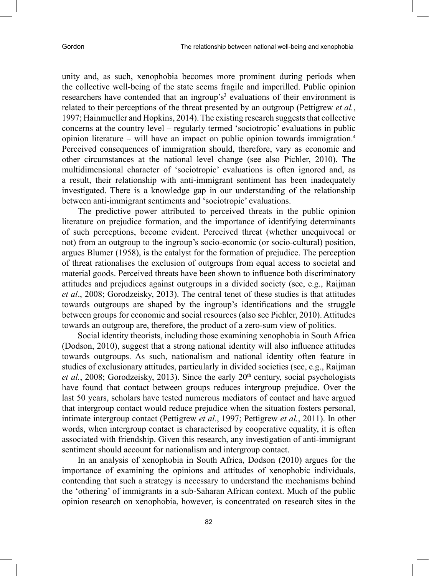unity and, as such, xenophobia becomes more prominent during periods when the collective well-being of the state seems fragile and imperilled. Public opinion researchers have contended that an ingroup's<sup>3</sup> evaluations of their environment is related to their perceptions of the threat presented by an outgroup (Pettigrew *et al.*, 1997; Hainmueller and Hopkins, 2014). The existing research suggests that collective concerns at the country level – regularly termed 'sociotropic' evaluations in public opinion literature – will have an impact on public opinion towards immigration.<sup>4</sup> Perceived consequences of immigration should, therefore, vary as economic and other circumstances at the national level change (see also Pichler, 2010). The multidimensional character of 'sociotropic' evaluations is often ignored and, as a result, their relationship with anti-immigrant sentiment has been inadequately investigated. There is a knowledge gap in our understanding of the relationship between anti-immigrant sentiments and 'sociotropic' evaluations.

The predictive power attributed to perceived threats in the public opinion literature on prejudice formation, and the importance of identifying determinants of such perceptions, become evident. Perceived threat (whether unequivocal or not) from an outgroup to the ingroup's socio-economic (or socio-cultural) position, argues Blumer (1958), is the catalyst for the formation of prejudice. The perception of threat rationalises the exclusion of outgroups from equal access to societal and material goods. Perceived threats have been shown to influence both discriminatory attitudes and prejudices against outgroups in a divided society (see, e.g., Raijman *et al*., 2008; Gorodzeisky, 2013). The central tenet of these studies is that attitudes towards outgroups are shaped by the ingroup's identifications and the struggle between groups for economic and social resources (also see Pichler, 2010). Attitudes towards an outgroup are, therefore, the product of a zero-sum view of politics.

Social identity theorists, including those examining xenophobia in South Africa (Dodson, 2010), suggest that a strong national identity will also influence attitudes towards outgroups. As such, nationalism and national identity often feature in studies of exclusionary attitudes, particularly in divided societies (see, e.g., Raijman *et al.*, 2008; Gorodzeisky, 2013). Since the early 20<sup>th</sup> century, social psychologists have found that contact between groups reduces intergroup prejudice. Over the last 50 years, scholars have tested numerous mediators of contact and have argued that intergroup contact would reduce prejudice when the situation fosters personal, intimate intergroup contact (Pettigrew *et al.*, 1997; Pettigrew *et al.*, 2011). In other words, when intergroup contact is characterised by cooperative equality, it is often associated with friendship. Given this research, any investigation of anti-immigrant sentiment should account for nationalism and intergroup contact.

In an analysis of xenophobia in South Africa, Dodson (2010) argues for the importance of examining the opinions and attitudes of xenophobic individuals, contending that such a strategy is necessary to understand the mechanisms behind the 'othering' of immigrants in a sub-Saharan African context. Much of the public opinion research on xenophobia, however, is concentrated on research sites in the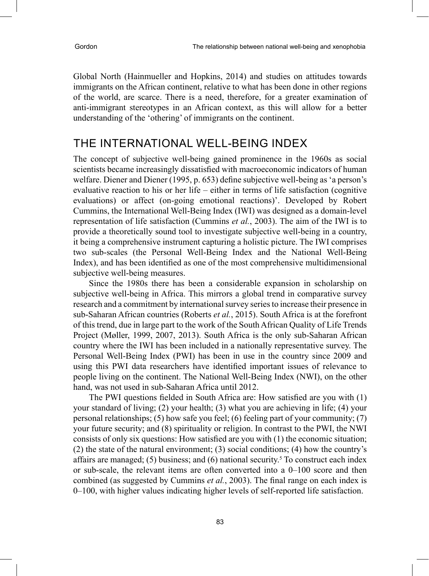Global North (Hainmueller and Hopkins, 2014) and studies on attitudes towards immigrants on the African continent, relative to what has been done in other regions of the world, are scarce. There is a need, therefore, for a greater examination of anti-immigrant stereotypes in an African context, as this will allow for a better understanding of the 'othering' of immigrants on the continent.

## THE INTERNATIONAL WELL-BEING INDEX

The concept of subjective well-being gained prominence in the 1960s as social scientists became increasingly dissatisfied with macroeconomic indicators of human welfare. Diener and Diener (1995, p. 653) define subjective well-being as 'a person's evaluative reaction to his or her life – either in terms of life satisfaction (cognitive evaluations) or affect (on-going emotional reactions)'. Developed by Robert Cummins, the International Well-Being Index (IWI) was designed as a domain-level representation of life satisfaction (Cummins *et al.*, 2003). The aim of the IWI is to provide a theoretically sound tool to investigate subjective well-being in a country, it being a comprehensive instrument capturing a holistic picture. The IWI comprises two sub-scales (the Personal Well-Being Index and the National Well-Being Index), and has been identified as one of the most comprehensive multidimensional subjective well-being measures.

Since the 1980s there has been a considerable expansion in scholarship on subjective well-being in Africa. This mirrors a global trend in comparative survey research and a commitment by international survey series to increase their presence in sub-Saharan African countries (Roberts *et al.*, 2015). South Africa is at the forefront of this trend, due in large part to the work of the South African Quality of Life Trends Project (Møller, 1999, 2007, 2013). South Africa is the only sub-Saharan African country where the IWI has been included in a nationally representative survey. The Personal Well-Being Index (PWI) has been in use in the country since 2009 and using this PWI data researchers have identified important issues of relevance to people living on the continent. The National Well-Being Index (NWI), on the other hand, was not used in sub-Saharan Africa until 2012.

The PWI questions fielded in South Africa are: How satisfied are you with (1) your standard of living; (2) your health; (3) what you are achieving in life; (4) your personal relationships; (5) how safe you feel; (6) feeling part of your community; (7) your future security; and (8) spirituality or religion. In contrast to the PWI, the NWI consists of only six questions: How satisfied are you with (1) the economic situation; (2) the state of the natural environment; (3) social conditions; (4) how the country's affairs are managed; (5) business; and (6) national security.<sup>5</sup> To construct each index or sub-scale, the relevant items are often converted into a 0–100 score and then combined (as suggested by Cummins *et al.*, 2003). The final range on each index is 0–100, with higher values indicating higher levels of self-reported life satisfaction.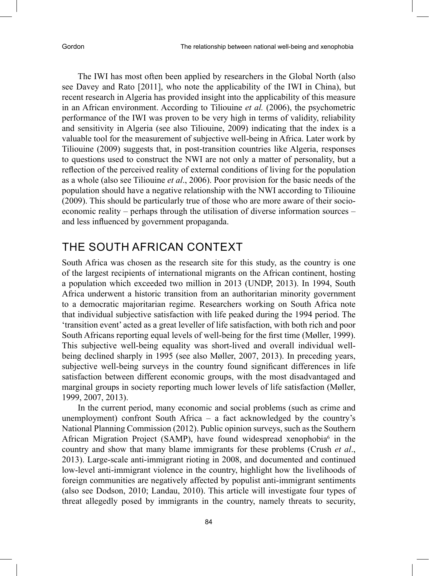The IWI has most often been applied by researchers in the Global North (also see Davey and Rato [2011], who note the applicability of the IWI in China), but recent research in Algeria has provided insight into the applicability of this measure in an African environment. According to Tiliouine *et al.* (2006), the psychometric performance of the IWI was proven to be very high in terms of validity, reliability and sensitivity in Algeria (see also Tiliouine, 2009) indicating that the index is a valuable tool for the measurement of subjective well-being in Africa. Later work by Tiliouine (2009) suggests that, in post-transition countries like Algeria, responses to questions used to construct the NWI are not only a matter of personality, but a reflection of the perceived reality of external conditions of living for the population as a whole (also see Tiliouine *et al*., 2006). Poor provision for the basic needs of the population should have a negative relationship with the NWI according to Tiliouine (2009). This should be particularly true of those who are more aware of their socioeconomic reality – perhaps through the utilisation of diverse information sources – and less influenced by government propaganda.

# THE SOUTH AFRICAN CONTEXT

South Africa was chosen as the research site for this study, as the country is one of the largest recipients of international migrants on the African continent, hosting a population which exceeded two million in 2013 (UNDP, 2013). In 1994, South Africa underwent a historic transition from an authoritarian minority government to a democratic majoritarian regime. Researchers working on South Africa note that individual subjective satisfaction with life peaked during the 1994 period. The 'transition event' acted as a great leveller of life satisfaction, with both rich and poor South Africans reporting equal levels of well-being for the first time (Møller, 1999). This subjective well-being equality was short-lived and overall individual wellbeing declined sharply in 1995 (see also Møller, 2007, 2013). In preceding years, subjective well-being surveys in the country found significant differences in life satisfaction between different economic groups, with the most disadvantaged and marginal groups in society reporting much lower levels of life satisfaction (Møller, 1999, 2007, 2013).

In the current period, many economic and social problems (such as crime and unemployment) confront South Africa – a fact acknowledged by the country's National Planning Commission (2012). Public opinion surveys, such as the Southern African Migration Project (SAMP), have found widespread xenophobia<sup>6</sup> in the country and show that many blame immigrants for these problems (Crush *et al*., 2013). Large-scale anti-immigrant rioting in 2008, and documented and continued low-level anti-immigrant violence in the country, highlight how the livelihoods of foreign communities are negatively affected by populist anti-immigrant sentiments (also see Dodson, 2010; Landau, 2010). This article will investigate four types of threat allegedly posed by immigrants in the country, namely threats to security,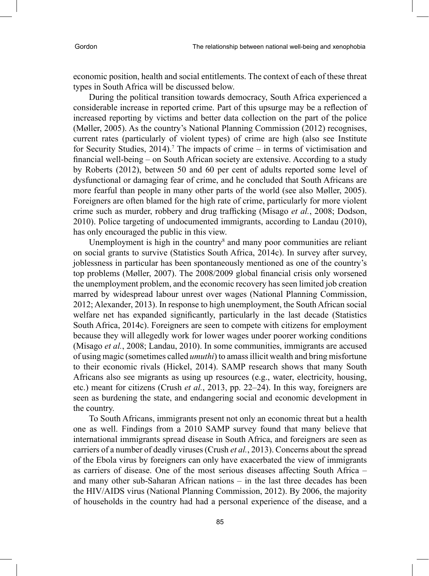economic position, health and social entitlements. The context of each of these threat types in South Africa will be discussed below.

During the political transition towards democracy, South Africa experienced a considerable increase in reported crime. Part of this upsurge may be a reflection of increased reporting by victims and better data collection on the part of the police (Møller, 2005). As the country's National Planning Commission (2012) recognises, current rates (particularly of violent types) of crime are high (also see Institute for Security Studies,  $2014$ ).<sup>7</sup> The impacts of crime – in terms of victimisation and financial well-being – on South African society are extensive. According to a study by Roberts (2012), between 50 and 60 per cent of adults reported some level of dysfunctional or damaging fear of crime, and he concluded that South Africans are more fearful than people in many other parts of the world (see also Møller, 2005). Foreigners are often blamed for the high rate of crime, particularly for more violent crime such as murder, robbery and drug trafficking (Misago *et al.*, 2008; Dodson, 2010). Police targeting of undocumented immigrants, according to Landau (2010), has only encouraged the public in this view.

Unemployment is high in the country<sup>8</sup> and many poor communities are reliant on social grants to survive (Statistics South Africa, 2014c). In survey after survey, joblessness in particular has been spontaneously mentioned as one of the country's top problems (Møller, 2007). The 2008/2009 global financial crisis only worsened the unemployment problem, and the economic recovery has seen limited job creation marred by widespread labour unrest over wages (National Planning Commission, 2012; Alexander, 2013). In response to high unemployment, the South African social welfare net has expanded significantly, particularly in the last decade (Statistics South Africa, 2014c). Foreigners are seen to compete with citizens for employment because they will allegedly work for lower wages under poorer working conditions (Misago *et al.*, 2008; Landau, 2010). In some communities, immigrants are accused of using magic (sometimes called *umuthi*) to amass illicit wealth and bring misfortune to their economic rivals (Hickel, 2014). SAMP research shows that many South Africans also see migrants as using up resources (e.g., water, electricity, housing, etc.) meant for citizens (Crush *et al.*, 2013, pp. 22–24). In this way, foreigners are seen as burdening the state, and endangering social and economic development in the country.

To South Africans, immigrants present not only an economic threat but a health one as well. Findings from a 2010 SAMP survey found that many believe that international immigrants spread disease in South Africa, and foreigners are seen as carriers of a number of deadly viruses (Crush *et al.*, 2013). Concerns about the spread of the Ebola virus by foreigners can only have exacerbated the view of immigrants as carriers of disease. One of the most serious diseases affecting South Africa – and many other sub-Saharan African nations – in the last three decades has been the HIV/AIDS virus (National Planning Commission, 2012). By 2006, the majority of households in the country had had a personal experience of the disease, and a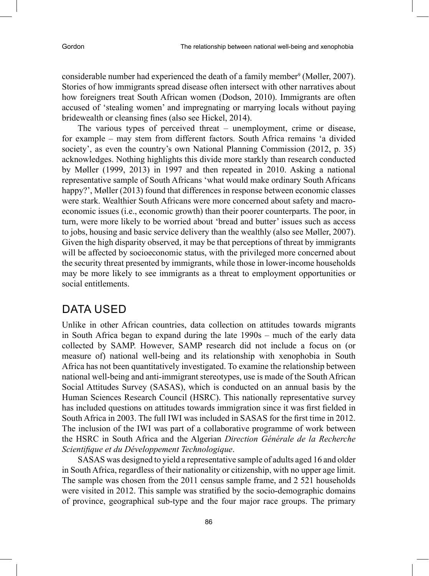considerable number had experienced the death of a family member<sup>9</sup> (Møller, 2007). Stories of how immigrants spread disease often intersect with other narratives about how foreigners treat South African women (Dodson, 2010). Immigrants are often accused of 'stealing women' and impregnating or marrying locals without paying bridewealth or cleansing fines (also see Hickel, 2014).

The various types of perceived threat – unemployment, crime or disease, for example – may stem from different factors. South Africa remains 'a divided society', as even the country's own National Planning Commission (2012, p. 35) acknowledges. Nothing highlights this divide more starkly than research conducted by Møller (1999, 2013) in 1997 and then repeated in 2010. Asking a national representative sample of South Africans 'what would make ordinary South Africans happy?', Møller (2013) found that differences in response between economic classes were stark. Wealthier South Africans were more concerned about safety and macroeconomic issues (i.e., economic growth) than their poorer counterparts. The poor, in turn, were more likely to be worried about 'bread and butter' issues such as access to jobs, housing and basic service delivery than the wealthly (also see Møller, 2007). Given the high disparity observed, it may be that perceptions of threat by immigrants will be affected by socioeconomic status, with the privileged more concerned about the security threat presented by immigrants, while those in lower-income households may be more likely to see immigrants as a threat to employment opportunities or social entitlements.

# DATA USED

Unlike in other African countries, data collection on attitudes towards migrants in South Africa began to expand during the late 1990s – much of the early data collected by SAMP. However, SAMP research did not include a focus on (or measure of) national well-being and its relationship with xenophobia in South Africa has not been quantitatively investigated. To examine the relationship between national well-being and anti-immigrant stereotypes, use is made of the South African Social Attitudes Survey (SASAS), which is conducted on an annual basis by the Human Sciences Research Council (HSRC). This nationally representative survey has included questions on attitudes towards immigration since it was first fielded in South Africa in 2003. The full IWI was included in SASAS for the first time in 2012. The inclusion of the IWI was part of a collaborative programme of work between the HSRC in South Africa and the Algerian *Direction Générale de la Recherche Scientifique et du Développement Technologique*.

SASAS was designed to yield a representative sample of adults aged 16 and older in South Africa, regardless of their nationality or citizenship, with no upper age limit. The sample was chosen from the 2011 census sample frame, and 2 521 households were visited in 2012. This sample was stratified by the socio-demographic domains of province, geographical sub-type and the four major race groups. The primary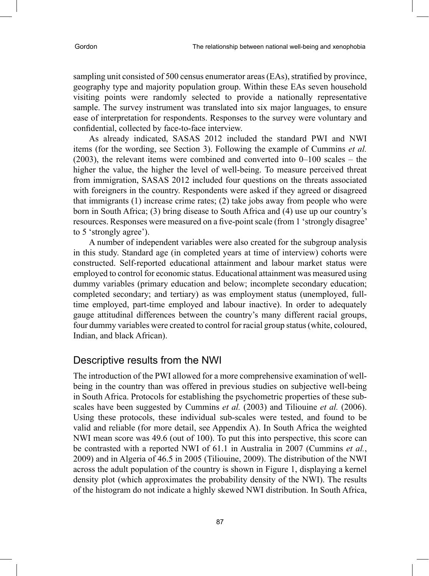sampling unit consisted of 500 census enumerator areas (EAs), stratified by province, geography type and majority population group. Within these EAs seven household visiting points were randomly selected to provide a nationally representative sample. The survey instrument was translated into six major languages, to ensure ease of interpretation for respondents. Responses to the survey were voluntary and confidential, collected by face-to-face interview.

As already indicated, SASAS 2012 included the standard PWI and NWI items (for the wording, see Section 3). Following the example of Cummins *et al.* (2003), the relevant items were combined and converted into 0–100 scales – the higher the value, the higher the level of well-being. To measure perceived threat from immigration, SASAS 2012 included four questions on the threats associated with foreigners in the country. Respondents were asked if they agreed or disagreed that immigrants (1) increase crime rates; (2) take jobs away from people who were born in South Africa; (3) bring disease to South Africa and (4) use up our country's resources. Responses were measured on a five-point scale (from 1 'strongly disagree' to 5 'strongly agree').

A number of independent variables were also created for the subgroup analysis in this study. Standard age (in completed years at time of interview) cohorts were constructed. Self-reported educational attainment and labour market status were employed to control for economic status. Educational attainment was measured using dummy variables (primary education and below; incomplete secondary education; completed secondary; and tertiary) as was employment status (unemployed, fulltime employed, part-time employed and labour inactive). In order to adequately gauge attitudinal differences between the country's many different racial groups, four dummy variables were created to control for racial group status (white, coloured, Indian, and black African).

### Descriptive results from the NWI

The introduction of the PWI allowed for a more comprehensive examination of wellbeing in the country than was offered in previous studies on subjective well-being in South Africa. Protocols for establishing the psychometric properties of these subscales have been suggested by Cummins *et al.* (2003) and Tiliouine *et al.* (2006). Using these protocols, these individual sub-scales were tested, and found to be valid and reliable (for more detail, see Appendix A). In South Africa the weighted NWI mean score was 49.6 (out of 100). To put this into perspective, this score can be contrasted with a reported NWI of 61.1 in Australia in 2007 (Cummins *et al.*, 2009) and in Algeria of 46.5 in 2005 (Tiliouine, 2009). The distribution of the NWI across the adult population of the country is shown in Figure 1, displaying a kernel density plot (which approximates the probability density of the NWI). The results of the histogram do not indicate a highly skewed NWI distribution. In South Africa,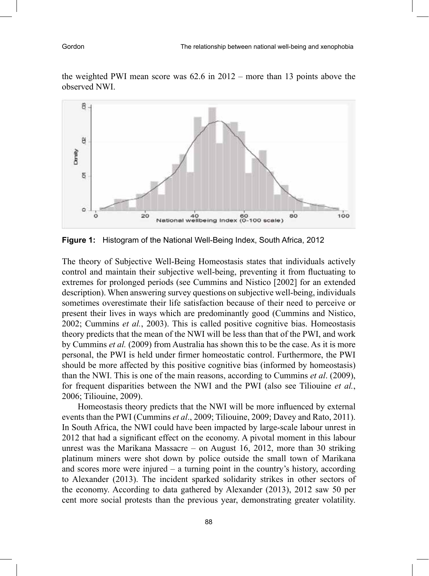the weighted PWI mean score was 62.6 in 2012 – more than 13 points above the observed NWI.



**Figure 1:** Histogram of the National Well-Being Index, South Africa, 2012

The theory of Subjective Well-Being Homeostasis states that individuals actively control and maintain their subjective well-being, preventing it from fluctuating to extremes for prolonged periods (see Cummins and Nistico [2002] for an extended description). When answering survey questions on subjective well-being, individuals sometimes overestimate their life satisfaction because of their need to perceive or present their lives in ways which are predominantly good (Cummins and Nistico, 2002; Cummins *et al.*, 2003). This is called positive cognitive bias. Homeostasis theory predicts that the mean of the NWI will be less than that of the PWI, and work by Cummins *et al.* (2009) from Australia has shown this to be the case. As it is more personal, the PWI is held under firmer homeostatic control. Furthermore, the PWI should be more affected by this positive cognitive bias (informed by homeostasis) than the NWI. This is one of the main reasons, according to Cummins *et al*. (2009), for frequent disparities between the NWI and the PWI (also see Tiliouine *et al.*, 2006; Tiliouine, 2009).

Homeostasis theory predicts that the NWI will be more influenced by external events than the PWI (Cummins *et al*., 2009; Tiliouine, 2009; Davey and Rato, 2011). In South Africa, the NWI could have been impacted by large-scale labour unrest in 2012 that had a significant effect on the economy. A pivotal moment in this labour unrest was the Marikana Massacre – on August 16, 2012, more than 30 striking platinum miners were shot down by police outside the small town of Marikana and scores more were injured – a turning point in the country's history, according to Alexander (2013). The incident sparked solidarity strikes in other sectors of the economy. According to data gathered by Alexander (2013), 2012 saw 50 per cent more social protests than the previous year, demonstrating greater volatility.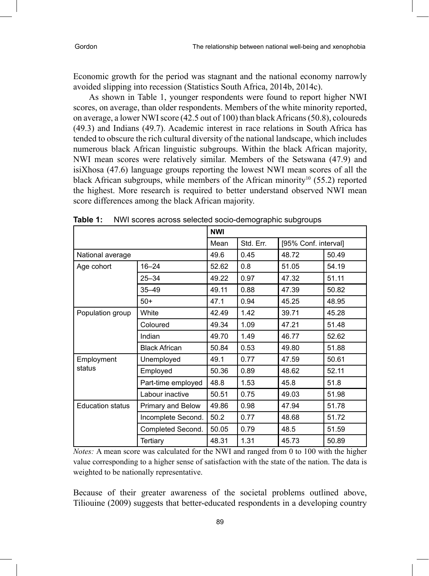Economic growth for the period was stagnant and the national economy narrowly avoided slipping into recession (Statistics South Africa, 2014b, 2014c).

As shown in Table 1, younger respondents were found to report higher NWI scores, on average, than older respondents. Members of the white minority reported, on average, a lower NWI score (42.5 out of 100) than black Africans (50.8), coloureds (49.3) and Indians (49.7). Academic interest in race relations in South Africa has tended to obscure the rich cultural diversity of the national landscape, which includes numerous black African linguistic subgroups. Within the black African majority, NWI mean scores were relatively similar. Members of the Setswana (47.9) and isiXhosa (47.6) language groups reporting the lowest NWI mean scores of all the black African subgroups, while members of the African minority<sup>10</sup> (55.2) reported the highest. More research is required to better understand observed NWI mean score differences among the black African majority.

|                         |                      | <b>NWI</b> |           |                      |       |
|-------------------------|----------------------|------------|-----------|----------------------|-------|
|                         |                      | Mean       | Std. Err. | [95% Conf. interval] |       |
| National average        |                      | 49.6       | 0.45      | 48.72                | 50.49 |
| Age cohort              | $16 - 24$            | 52.62      | 0.8       | 51.05                | 54.19 |
|                         | $25 - 34$            | 49.22      | 0.97      | 47.32                | 51.11 |
|                         | $35 - 49$            | 49.11      | 0.88      | 47.39                | 50.82 |
|                         | $50+$                | 47.1       | 0.94      | 45.25                | 48.95 |
| Population group        | White                | 42.49      | 1.42      | 39.71                | 45.28 |
|                         | Coloured             | 49.34      | 1.09      | 47.21                | 51.48 |
|                         | Indian               | 49.70      | 1.49      | 46.77                | 52.62 |
|                         | <b>Black African</b> | 50.84      | 0.53      | 49.80                | 51.88 |
| Employment<br>status    | Unemployed           | 49.1       | 0.77      | 47.59                | 50.61 |
|                         | Employed             | 50.36      | 0.89      | 48.62                | 52.11 |
|                         | Part-time employed   | 48.8       | 1.53      | 45.8                 | 51.8  |
|                         | Labour inactive      | 50.51      | 0.75      | 49.03                | 51.98 |
| <b>Education status</b> | Primary and Below    | 49.86      | 0.98      | 47.94                | 51.78 |
|                         | Incomplete Second.   | 50.2       | 0.77      | 48.68                | 51.72 |
|                         | Completed Second.    | 50.05      | 0.79      | 48.5                 | 51.59 |
|                         | Tertiary             | 48.31      | 1.31      | 45.73                | 50.89 |

**Table 1:** NWI scores across selected socio-demographic subgroups

*Notes:* A mean score was calculated for the NWI and ranged from 0 to 100 with the higher value corresponding to a higher sense of satisfaction with the state of the nation. The data is weighted to be nationally representative.

Because of their greater awareness of the societal problems outlined above, Tiliouine (2009) suggests that better-educated respondents in a developing country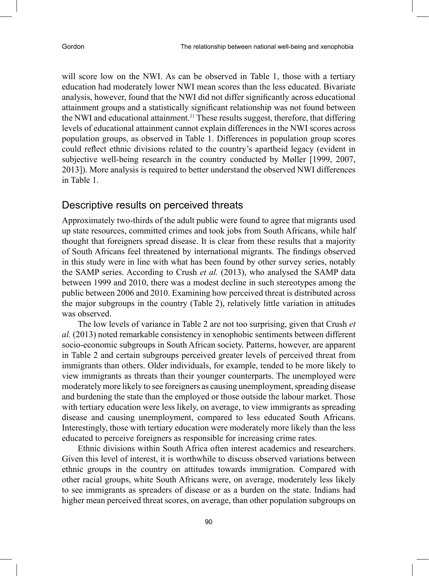will score low on the NWI. As can be observed in Table 1, those with a tertiary education had moderately lower NWI mean scores than the less educated. Bivariate analysis, however, found that the NWI did not differ significantly across educational attainment groups and a statistically significant relationship was not found between the NWI and educational attainment.<sup>11</sup> These results suggest, therefore, that differing levels of educational attainment cannot explain differences in the NWI scores across population groups, as observed in Table 1. Differences in population group scores could reflect ethnic divisions related to the country's apartheid legacy (evident in subjective well-being research in the country conducted by Møller [1999, 2007, 2013]). More analysis is required to better understand the observed NWI differences in Table 1.

### Descriptive results on perceived threats

Approximately two-thirds of the adult public were found to agree that migrants used up state resources, committed crimes and took jobs from South Africans, while half thought that foreigners spread disease. It is clear from these results that a majority of South Africans feel threatened by international migrants. The findings observed in this study were in line with what has been found by other survey series, notably the SAMP series. According to Crush *et al.* (2013), who analysed the SAMP data between 1999 and 2010, there was a modest decline in such stereotypes among the public between 2006 and 2010. Examining how perceived threat is distributed across the major subgroups in the country (Table 2), relatively little variation in attitudes was observed.

The low levels of variance in Table 2 are not too surprising, given that Crush *et al.* (2013) noted remarkable consistency in xenophobic sentiments between different socio-economic subgroups in South African society. Patterns, however, are apparent in Table 2 and certain subgroups perceived greater levels of perceived threat from immigrants than others. Older individuals, for example, tended to be more likely to view immigrants as threats than their younger counterparts. The unemployed were moderately more likely to see foreigners as causing unemployment, spreading disease and burdening the state than the employed or those outside the labour market. Those with tertiary education were less likely, on average, to view immigrants as spreading disease and causing unemployment, compared to less educated South Africans. Interestingly, those with tertiary education were moderately more likely than the less educated to perceive foreigners as responsible for increasing crime rates.

Ethnic divisions within South Africa often interest academics and researchers. Given this level of interest, it is worthwhile to discuss observed variations between ethnic groups in the country on attitudes towards immigration. Compared with other racial groups, white South Africans were, on average, moderately less likely to see immigrants as spreaders of disease or as a burden on the state. Indians had higher mean perceived threat scores, on average, than other population subgroups on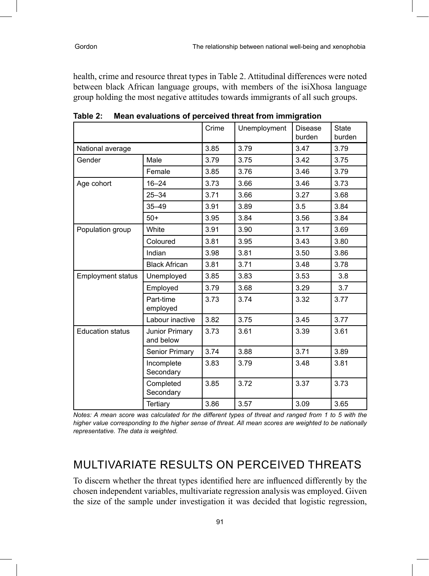health, crime and resource threat types in Table 2. Attitudinal differences were noted between black African language groups, with members of the isiXhosa language group holding the most negative attitudes towards immigrants of all such groups.

|                          |                             | Crime | Unemployment | Disease<br>burden | <b>State</b><br>burden |
|--------------------------|-----------------------------|-------|--------------|-------------------|------------------------|
| National average         |                             | 3.85  | 3.79         | 3.47              | 3.79                   |
| Gender                   | Male                        | 3.79  | 3.75         | 3.42              | 3.75                   |
|                          | Female                      | 3.85  | 3.76         | 3.46              | 3.79                   |
| Age cohort               | $16 - 24$                   | 3.73  | 3.66         | 3.46              | 3.73                   |
|                          | $25 - 34$                   | 3.71  | 3.66         | 3.27              | 3.68                   |
|                          | $35 - 49$                   | 3.91  | 3.89         | 3.5               | 3.84                   |
|                          | $50+$                       | 3.95  | 3.84         | 3.56              | 3.84                   |
| Population group         | White                       | 3.91  | 3.90         | 3.17              | 3.69                   |
|                          | Coloured                    | 3.81  | 3.95         | 3.43              | 3.80                   |
|                          | Indian                      | 3.98  | 3.81         | 3.50              | 3.86                   |
|                          | <b>Black African</b>        | 3.81  | 3.71         | 3.48              | 3.78                   |
| <b>Employment status</b> | Unemployed                  | 3.85  | 3.83         | 3.53              | 3.8                    |
|                          | Employed                    | 3.79  | 3.68         | 3.29              | 3.7                    |
|                          | Part-time<br>employed       | 3.73  | 3.74         | 3.32              | 3.77                   |
|                          | Labour inactive             | 3.82  | 3.75         | 3.45              | 3.77                   |
| <b>Education status</b>  | Junior Primary<br>and below | 3.73  | 3.61         | 3.39              | 3.61                   |
|                          | <b>Senior Primary</b>       | 3.74  | 3.88         | 3.71              | 3.89                   |
|                          | Incomplete<br>Secondary     | 3.83  | 3.79         | 3.48              | 3.81                   |
|                          | Completed<br>Secondary      | 3.85  | 3.72         | 3.37              | 3.73                   |
|                          | Tertiary                    | 3.86  | 3.57         | 3.09              | 3.65                   |

**Table 2: Mean evaluations of perceived threat from immigration**

*Notes: A mean score was calculated for the different types of threat and ranged from 1 to 5 with the higher value corresponding to the higher sense of threat. All mean scores are weighted to be nationally representative. The data is weighted.* 

### MULTIVARIATE RESULTS ON PERCEIVED THREATS

To discern whether the threat types identified here are influenced differently by the chosen independent variables, multivariate regression analysis was employed. Given the size of the sample under investigation it was decided that logistic regression,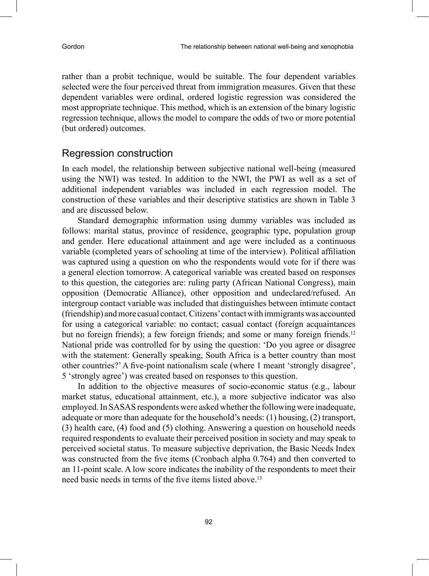rather than a probit technique, would be suitable. The four dependent variables selected were the four perceived threat from immigration measures. Given that these dependent variables were ordinal, ordered logistic regression was considered the most appropriate technique. This method, which is an extension of the binary logistic regression technique, allows the model to compare the odds of two or more potential (but ordered) outcomes.

### Regression construction

In each model, the relationship between subjective national well-being (measured using the NWI) was tested. In addition to the NWI, the PWI as well as a set of additional independent variables was included in each regression model. The construction of these variables and their descriptive statistics are shown in Table 3 and are discussed below.

Standard demographic information using dummy variables was included as follows: marital status, province of residence, geographic type, population group and gender. Here educational attainment and age were included as a continuous variable (completed years of schooling at time of the interview). Political affiliation was captured using a question on who the respondents would vote for if there was a general election tomorrow. A categorical variable was created based on responses to this question, the categories are: ruling party (African National Congress), main opposition (Democratic Alliance), other opposition and undeclared/refused. An intergroup contact variable was included that distinguishes between intimate contact (friendship) and more casual contact. Citizens' contact with immigrants was accounted for using a categorical variable: no contact; casual contact (foreign acquaintances but no foreign friends); a few foreign friends; and some or many foreign friends.<sup>12</sup> National pride was controlled for by using the question: 'Do you agree or disagree with the statement: Generally speaking, South Africa is a better country than most other countries?' A five-point nationalism scale (where 1 meant 'strongly disagree', 5 'strongly agree') was created based on responses to this question.

In addition to the objective measures of socio-economic status (e.g., labour market status, educational attainment, etc.), a more subjective indicator was also employed. In SASAS respondents were asked whether the following were inadequate, adequate or more than adequate for the household's needs: (1) housing, (2) transport, (3) health care, (4) food and (5) clothing. Answering a question on household needs required respondents to evaluate their perceived position in society and may speak to perceived societal status. To measure subjective deprivation, the Basic Needs Index was constructed from the five items (Cronbach alpha 0.764) and then converted to an 11-point scale. A low score indicates the inability of the respondents to meet their need basic needs in terms of the five items listed above.<sup>13</sup>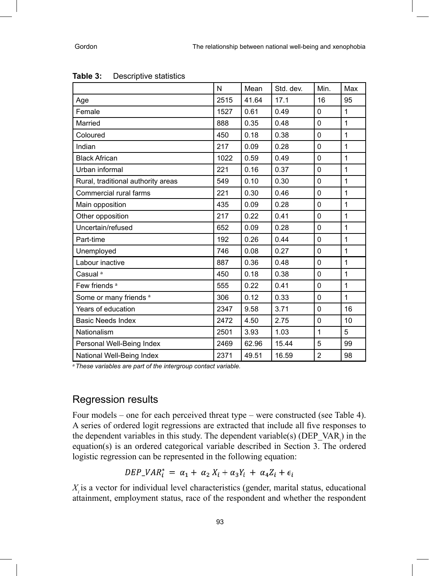|                                    | N    | Mean  | Std. dev. | Min.           | Max          |
|------------------------------------|------|-------|-----------|----------------|--------------|
| Age                                | 2515 | 41.64 | 17.1      | 16             | 95           |
| Female                             | 1527 | 0.61  | 0.49      | $\Omega$       | $\mathbf{1}$ |
| Married                            | 888  | 0.35  | 0.48      | 0              | $\mathbf{1}$ |
| Coloured                           | 450  | 0.18  | 0.38      | $\Omega$       | $\mathbf{1}$ |
| Indian                             | 217  | 0.09  | 0.28      | $\Omega$       | $\mathbf{1}$ |
| <b>Black African</b>               | 1022 | 0.59  | 0.49      | $\Omega$       | 1            |
| Urban informal                     | 221  | 0.16  | 0.37      | $\mathbf{0}$   | $\mathbf{1}$ |
| Rural, traditional authority areas | 549  | 0.10  | 0.30      | $\mathbf 0$    | $\mathbf{1}$ |
| Commercial rural farms             | 221  | 0.30  | 0.46      | $\mathbf 0$    | $\mathbf{1}$ |
| Main opposition                    | 435  | 0.09  | 0.28      | $\mathbf 0$    | $\mathbf{1}$ |
| Other opposition                   | 217  | 0.22  | 0.41      | $\mathbf 0$    | $\mathbf{1}$ |
| Uncertain/refused                  | 652  | 0.09  | 0.28      | $\mathbf 0$    | $\mathbf{1}$ |
| Part-time                          | 192  | 0.26  | 0.44      | $\mathbf 0$    | $\mathbf{1}$ |
| Unemployed                         | 746  | 0.08  | 0.27      | $\mathbf 0$    | 1            |
| Labour inactive                    | 887  | 0.36  | 0.48      | $\mathbf 0$    | $\mathbf{1}$ |
| Casual <sup>a</sup>                | 450  | 0.18  | 0.38      | 0              | 1            |
| Few friends <sup>a</sup>           | 555  | 0.22  | 0.41      | 0              | $\mathbf{1}$ |
| Some or many friends <sup>a</sup>  | 306  | 0.12  | 0.33      | $\mathbf{0}$   | $\mathbf{1}$ |
| Years of education                 | 2347 | 9.58  | 3.71      | $\mathbf 0$    | 16           |
| <b>Basic Needs Index</b>           | 2472 | 4.50  | 2.75      | $\mathbf 0$    | 10           |
| Nationalism                        | 2501 | 3.93  | 1.03      | $\mathbf{1}$   | 5            |
| Personal Well-Being Index          | 2469 | 62.96 | 15.44     | 5              | 99           |
| National Well-Being Index          | 2371 | 49.51 | 16.59     | $\overline{2}$ | 98           |

| Table 3: | Descriptive statistics |
|----------|------------------------|
|----------|------------------------|

*<sup>a</sup>These variables are part of the intergroup contact variable.* 

### Regression results

Four models – one for each perceived threat type – were constructed (see Table 4). A series of ordered logit regressions are extracted that include all five responses to the dependent variables in this study. The dependent variable(s)  $(DEP_XAR_i)$  in the equation(s) is an ordered categorical variable described in Section 3. The ordered logistic regression can be represented in the following equation:

$$
DEP_{-}VAR_{i}^{*} = \alpha_{1} + \alpha_{2} X_{i} + \alpha_{3} Y_{i} + \alpha_{4} Z_{i} + \epsilon_{i}
$$

*Xi* is a vector for individual level characteristics (gender, marital status, educational attainment, employment status, race of the respondent and whether the respondent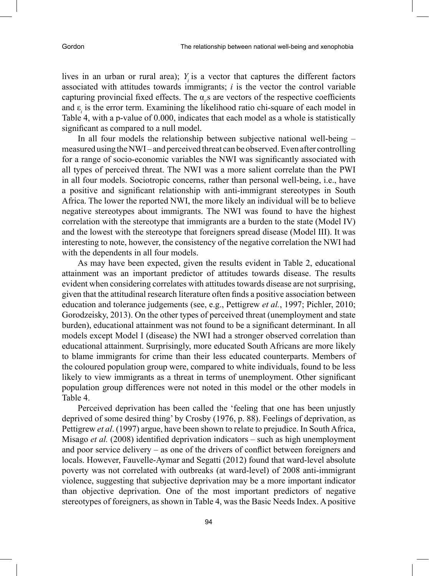lives in an urban or rural area); *Yi* is a vector that captures the different factors associated with attitudes towards immigrants; *i* is the vector the control variable capturing provincial fixed effects. The  $\alpha_i$  are vectors of the respective coefficients and  $\varepsilon$ <sub>*i*</sub> is the error term. Examining the likelihood ratio chi-square of each model in Table 4, with a p-value of 0.000, indicates that each model as a whole is statistically significant as compared to a null model.

In all four models the relationship between subjective national well-being – measured using the NWI – and perceived threat can be observed. Even after controlling for a range of socio-economic variables the NWI was significantly associated with all types of perceived threat. The NWI was a more salient correlate than the PWI in all four models. Sociotropic concerns, rather than personal well-being, i.e., have a positive and significant relationship with anti-immigrant stereotypes in South Africa. The lower the reported NWI, the more likely an individual will be to believe negative stereotypes about immigrants. The NWI was found to have the highest correlation with the stereotype that immigrants are a burden to the state (Model IV) and the lowest with the stereotype that foreigners spread disease (Model III). It was interesting to note, however, the consistency of the negative correlation the NWI had with the dependents in all four models.

As may have been expected, given the results evident in Table 2, educational attainment was an important predictor of attitudes towards disease. The results evident when considering correlates with attitudes towards disease are not surprising, given that the attitudinal research literature often finds a positive association between education and tolerance judgements (see, e.g., Pettigrew *et al.*, 1997; Pichler, 2010; Gorodzeisky, 2013). On the other types of perceived threat (unemployment and state burden), educational attainment was not found to be a significant determinant. In all models except Model I (disease) the NWI had a stronger observed correlation than educational attainment. Surprisingly, more educated South Africans are more likely to blame immigrants for crime than their less educated counterparts. Members of the coloured population group were, compared to white individuals, found to be less likely to view immigrants as a threat in terms of unemployment. Other significant population group differences were not noted in this model or the other models in Table 4.

Perceived deprivation has been called the 'feeling that one has been unjustly deprived of some desired thing' by Crosby (1976, p. 88). Feelings of deprivation, as Pettigrew *et al*. (1997) argue, have been shown to relate to prejudice. In South Africa, Misago *et al.* (2008) identified deprivation indicators – such as high unemployment and poor service delivery – as one of the drivers of conflict between foreigners and locals. However, Fauvelle-Aymar and Segatti (2012) found that ward-level absolute poverty was not correlated with outbreaks (at ward-level) of 2008 anti-immigrant violence, suggesting that subjective deprivation may be a more important indicator than objective deprivation. One of the most important predictors of negative stereotypes of foreigners, as shown in Table 4, was the Basic Needs Index. A positive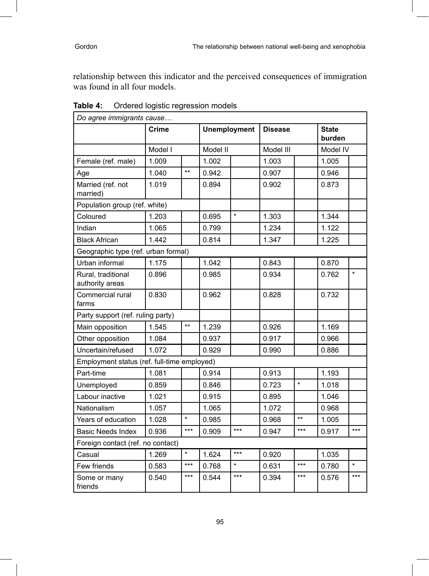relationship between this indicator and the perceived consequences of immigration was found in all four models.

| Do agree immigrants cause                   |         |              |                     |         |                |         |                        |         |
|---------------------------------------------|---------|--------------|---------------------|---------|----------------|---------|------------------------|---------|
|                                             | Crime   |              | <b>Unemployment</b> |         | <b>Disease</b> |         | <b>State</b><br>burden |         |
|                                             | Model I |              | Model II            |         | Model III      |         | Model IV               |         |
| Female (ref. male)                          | 1.009   |              | 1.002               |         | 1.003          |         | 1.005                  |         |
| Age                                         | 1.040   | $\star\star$ | 0.942               |         | 0.907          |         | 0.946                  |         |
| Married (ref. not<br>married)               | 1.019   |              | 0.894               |         | 0.902          |         | 0.873                  |         |
| Population group (ref. white)               |         |              |                     |         |                |         |                        |         |
| Coloured                                    | 1.203   |              | 0.695               | $\star$ | 1.303          |         | 1.344                  |         |
| Indian                                      | 1.065   |              | 0.799               |         | 1.234          |         | 1.122                  |         |
| <b>Black African</b>                        | 1.442   |              | 0.814               |         | 1.347          |         | 1.225                  |         |
| Geographic type (ref. urban formal)         |         |              |                     |         |                |         |                        |         |
| Urban informal                              | 1.175   |              | 1.042               |         | 0.843          |         | 0.870                  |         |
| Rural, traditional<br>authority areas       | 0.896   |              | 0.985               |         | 0.934          |         | 0.762                  | $\star$ |
| Commercial rural<br>farms                   | 0.830   |              | 0.962               |         | 0.828          |         | 0.732                  |         |
| Party support (ref. ruling party)           |         |              |                     |         |                |         |                        |         |
| Main opposition                             | 1.545   | $***$        | 1.239               |         | 0.926          |         | 1.169                  |         |
| Other opposition                            | 1.084   |              | 0.937               |         | 0.917          |         | 0.966                  |         |
| Uncertain/refused                           | 1.072   |              | 0.929               |         | 0.990          |         | 0.886                  |         |
| Employment status (ref. full-time employed) |         |              |                     |         |                |         |                        |         |
| Part-time                                   | 1.081   |              | 0.914               |         | 0.913          |         | 1.193                  |         |
| Unemployed                                  | 0.859   |              | 0.846               |         | 0.723          | $\star$ | 1.018                  |         |
| Labour inactive                             | 1.021   |              | 0.915               |         | 0.895          |         | 1.046                  |         |
| Nationalism                                 | 1.057   |              | 1.065               |         | 1.072          |         | 0.968                  |         |
| Years of education                          | 1.028   | $\star$      | 0.985               |         | 0.968          | $***$   | 1.005                  |         |
| <b>Basic Needs Index</b>                    | 0.936   | $***$        | 0.909               | $***$   | 0.947          | $***$   | 0.917                  | $***$   |
| Foreign contact (ref. no contact)           |         |              |                     |         |                |         |                        |         |
| Casual                                      | 1.269   | $\star$      | 1.624               | $***$   | 0.920          |         | 1.035                  |         |
| Few friends                                 | 0.583   | $***$        | 0.768               | $\star$ | 0.631          | $***$   | 0.780                  | $\star$ |
| Some or many<br>friends                     | 0.540   | $***$        | 0.544               | $***$   | 0.394          | $***$   | 0.576                  | $***$   |

**Table 4:** Ordered logistic regression models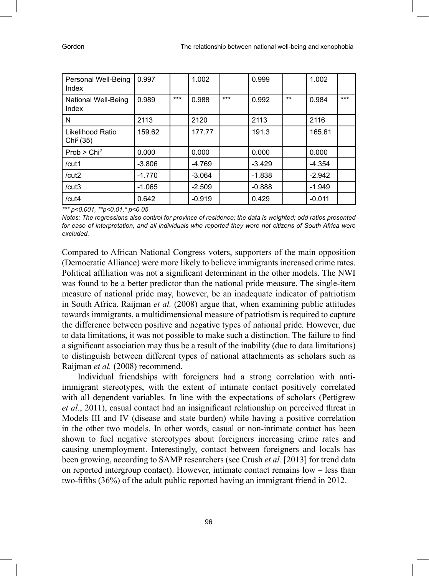| Personal Well-Being<br>Index              | 0.997    |       | 1.002    |       | 0.999    |     | 1.002    |       |
|-------------------------------------------|----------|-------|----------|-------|----------|-----|----------|-------|
| National Well-Being<br>Index              | 0.989    | $***$ | 0.988    | $***$ | 0.992    | $*$ | 0.984    | $***$ |
| N                                         | 2113     |       | 2120     |       | 2113     |     | 2116     |       |
| Likelihood Ratio<br>Chi <sup>2</sup> (35) | 159.62   |       | 177.77   |       | 191.3    |     | 165.61   |       |
| Prob > Chi <sup>2</sup>                   | 0.000    |       | 0.000    |       | 0.000    |     | 0.000    |       |
| /cut1                                     | $-3.806$ |       | $-4.769$ |       | $-3.429$ |     | $-4.354$ |       |
| /cut2                                     | $-1.770$ |       | $-3.064$ |       | $-1.838$ |     | $-2.942$ |       |
| /cut3                                     | $-1.065$ |       | $-2.509$ |       | $-0.888$ |     | $-1.949$ |       |
| /cut4                                     | 0.642    |       | $-0.919$ |       | 0.429    |     | $-0.011$ |       |

*\*\*\* p<0.001, \*\*p<0.01,\* p<0.05* 

*Notes: The regressions also control for province of residence; the data is weighted; odd ratios presented for ease of interpretation, and all individuals who reported they were not citizens of South Africa were excluded.*

Compared to African National Congress voters, supporters of the main opposition (Democratic Alliance) were more likely to believe immigrants increased crime rates. Political affiliation was not a significant determinant in the other models. The NWI was found to be a better predictor than the national pride measure. The single-item measure of national pride may, however, be an inadequate indicator of patriotism in South Africa. Raijman *et al.* (2008) argue that, when examining public attitudes towards immigrants, a multidimensional measure of patriotism is required to capture the difference between positive and negative types of national pride. However, due to data limitations, it was not possible to make such a distinction. The failure to find a significant association may thus be a result of the inability (due to data limitations) to distinguish between different types of national attachments as scholars such as Raijman *et al.* (2008) recommend.

Individual friendships with foreigners had a strong correlation with antiimmigrant stereotypes, with the extent of intimate contact positively correlated with all dependent variables. In line with the expectations of scholars (Pettigrew *et al.*, 2011), casual contact had an insignificant relationship on perceived threat in Models III and IV (disease and state burden) while having a positive correlation in the other two models. In other words, casual or non-intimate contact has been shown to fuel negative stereotypes about foreigners increasing crime rates and causing unemployment. Interestingly, contact between foreigners and locals has been growing, according to SAMP researchers (see Crush *et al.* [2013] for trend data on reported intergroup contact). However, intimate contact remains low – less than two-fifths (36%) of the adult public reported having an immigrant friend in 2012.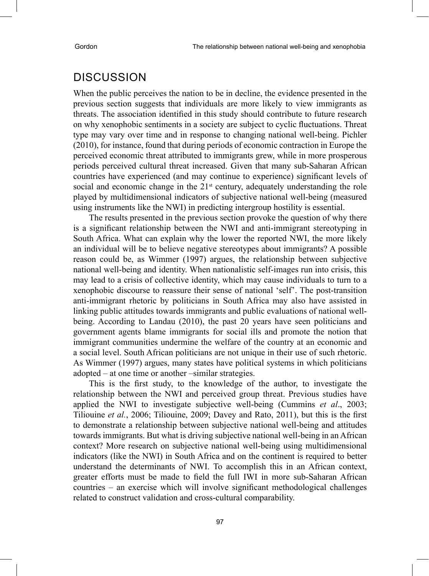## **DISCUSSION**

When the public perceives the nation to be in decline, the evidence presented in the previous section suggests that individuals are more likely to view immigrants as threats. The association identified in this study should contribute to future research on why xenophobic sentiments in a society are subject to cyclic fluctuations. Threat type may vary over time and in response to changing national well-being. Pichler (2010), for instance, found that during periods of economic contraction in Europe the perceived economic threat attributed to immigrants grew, while in more prosperous periods perceived cultural threat increased. Given that many sub-Saharan African countries have experienced (and may continue to experience) significant levels of social and economic change in the  $21<sup>st</sup>$  century, adequately understanding the role played by multidimensional indicators of subjective national well-being (measured using instruments like the NWI) in predicting intergroup hostility is essential.

The results presented in the previous section provoke the question of why there is a significant relationship between the NWI and anti-immigrant stereotyping in South Africa. What can explain why the lower the reported NWI, the more likely an individual will be to believe negative stereotypes about immigrants? A possible reason could be, as Wimmer (1997) argues, the relationship between subjective national well-being and identity. When nationalistic self-images run into crisis, this may lead to a crisis of collective identity, which may cause individuals to turn to a xenophobic discourse to reassure their sense of national 'self'. The post-transition anti-immigrant rhetoric by politicians in South Africa may also have assisted in linking public attitudes towards immigrants and public evaluations of national wellbeing. According to Landau (2010), the past 20 years have seen politicians and government agents blame immigrants for social ills and promote the notion that immigrant communities undermine the welfare of the country at an economic and a social level. South African politicians are not unique in their use of such rhetoric. As Wimmer (1997) argues, many states have political systems in which politicians adopted – at one time or another –similar strategies.

This is the first study, to the knowledge of the author, to investigate the relationship between the NWI and perceived group threat. Previous studies have applied the NWI to investigate subjective well-being (Cummins *et al*., 2003; Tiliouine *et al.*, 2006; Tiliouine, 2009; Davey and Rato, 2011), but this is the first to demonstrate a relationship between subjective national well-being and attitudes towards immigrants. But what is driving subjective national well-being in an African context? More research on subjective national well-being using multidimensional indicators (like the NWI) in South Africa and on the continent is required to better understand the determinants of NWI. To accomplish this in an African context, greater efforts must be made to field the full IWI in more sub-Saharan African countries – an exercise which will involve significant methodological challenges related to construct validation and cross-cultural comparability.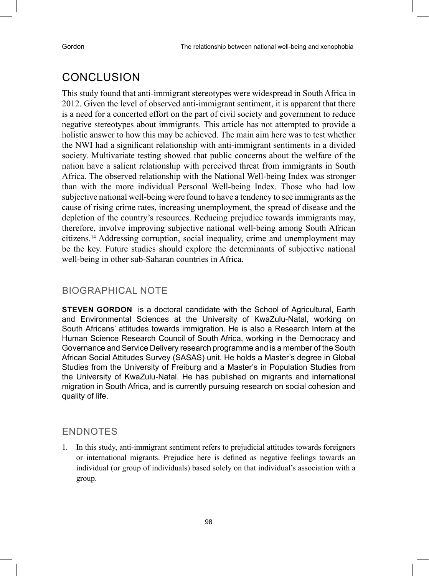# **CONCLUSION**

This study found that anti-immigrant stereotypes were widespread in South Africa in 2012. Given the level of observed anti-immigrant sentiment, it is apparent that there is a need for a concerted effort on the part of civil society and government to reduce negative stereotypes about immigrants. This article has not attempted to provide a holistic answer to how this may be achieved. The main aim here was to test whether the NWI had a significant relationship with anti-immigrant sentiments in a divided society. Multivariate testing showed that public concerns about the welfare of the nation have a salient relationship with perceived threat from immigrants in South Africa. The observed relationship with the National Well-being Index was stronger than with the more individual Personal Well-being Index. Those who had low subjective national well-being were found to have a tendency to see immigrants as the cause of rising crime rates, increasing unemployment, the spread of disease and the depletion of the country's resources. Reducing prejudice towards immigrants may, therefore, involve improving subjective national well-being among South African citizens.14 Addressing corruption, social inequality, crime and unemployment may be the key. Future studies should explore the determinants of subjective national well-being in other sub-Saharan countries in Africa.

#### Biographical note

**STEVEN GORDON** is a doctoral candidate with the School of Agricultural, Earth and Environmental Sciences at the University of KwaZulu-Natal, working on South Africans' attitudes towards immigration. He is also a Research Intern at the Human Science Research Council of South Africa, working in the Democracy and Governance and Service Delivery research programme and is a member of the South African Social Attitudes Survey (SASAS) unit. He holds a Master's degree in Global Studies from the University of Freiburg and a Master's in Population Studies from the University of KwaZulu-Natal. He has published on migrants and international migration in South Africa, and is currently pursuing research on social cohesion and quality of life.

### **ENDNOTES**

1. In this study, anti-immigrant sentiment refers to prejudicial attitudes towards foreigners or international migrants. Prejudice here is defined as negative feelings towards an individual (or group of individuals) based solely on that individual's association with a group.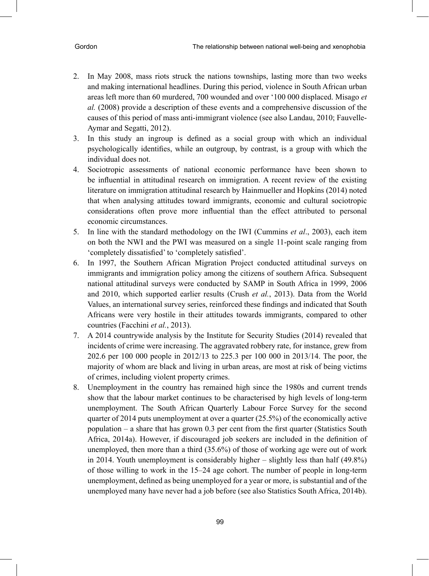- 2. In May 2008, mass riots struck the nations townships, lasting more than two weeks and making international headlines. During this period, violence in South African urban areas left more than 60 murdered, 700 wounded and over '100 000 displaced. Misago *et al.* (2008) provide a description of these events and a comprehensive discussion of the causes of this period of mass anti-immigrant violence (see also Landau, 2010; Fauvelle-Aymar and Segatti, 2012).
- 3. In this study an ingroup is defined as a social group with which an individual psychologically identifies, while an outgroup, by contrast, is a group with which the individual does not.
- 4. Sociotropic assessments of national economic performance have been shown to be influential in attitudinal research on immigration. A recent review of the existing literature on immigration attitudinal research by Hainmueller and Hopkins (2014) noted that when analysing attitudes toward immigrants, economic and cultural sociotropic considerations often prove more influential than the effect attributed to personal economic circumstances.
- 5. In line with the standard methodology on the IWI (Cummins *et al*., 2003), each item on both the NWI and the PWI was measured on a single 11-point scale ranging from 'completely dissatisfied' to 'completely satisfied'.
- 6. In 1997, the Southern African Migration Project conducted attitudinal surveys on immigrants and immigration policy among the citizens of southern Africa. Subsequent national attitudinal surveys were conducted by SAMP in South Africa in 1999, 2006 and 2010, which supported earlier results (Crush *et al.*, 2013). Data from the World Values, an international survey series, reinforced these findings and indicated that South Africans were very hostile in their attitudes towards immigrants, compared to other countries (Facchini *et al.*, 2013).
- 7. A 2014 countrywide analysis by the Institute for Security Studies (2014) revealed that incidents of crime were increasing. The aggravated robbery rate, for instance, grew from 202.6 per 100 000 people in 2012/13 to 225.3 per 100 000 in 2013/14. The poor, the majority of whom are black and living in urban areas, are most at risk of being victims of crimes, including violent property crimes.
- 8. Unemployment in the country has remained high since the 1980s and current trends show that the labour market continues to be characterised by high levels of long-term unemployment. The South African Quarterly Labour Force Survey for the second quarter of 2014 puts unemployment at over a quarter (25.5%) of the economically active population – a share that has grown 0.3 per cent from the first quarter (Statistics South Africa, 2014a). However, if discouraged job seekers are included in the definition of unemployed, then more than a third (35.6%) of those of working age were out of work in 2014. Youth unemployment is considerably higher – slightly less than half (49.8%) of those willing to work in the 15–24 age cohort. The number of people in long-term unemployment, defined as being unemployed for a year or more, is substantial and of the unemployed many have never had a job before (see also Statistics South Africa, 2014b).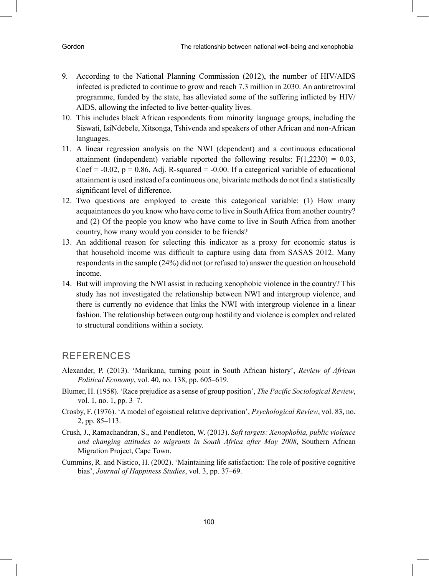- 9. According to the National Planning Commission (2012), the number of HIV/AIDS infected is predicted to continue to grow and reach 7.3 million in 2030. An antiretroviral programme, funded by the state, has alleviated some of the suffering inflicted by HIV/ AIDS, allowing the infected to live better-quality lives.
- 10. This includes black African respondents from minority language groups, including the Siswati, IsiNdebele, Xitsonga, Tshivenda and speakers of other African and non-African languages.
- 11. A linear regression analysis on the NWI (dependent) and a continuous educational attainment (independent) variable reported the following results:  $F(1,2230) = 0.03$ , Coef =  $-0.02$ , p = 0.86, Adj. R-squared =  $-0.00$ . If a categorical variable of educational attainment is used instead of a continuous one, bivariate methods do not find a statistically significant level of difference.
- 12. Two questions are employed to create this categorical variable: (1) How many acquaintances do you know who have come to live in South Africa from another country? and (2) Of the people you know who have come to live in South Africa from another country, how many would you consider to be friends?
- 13. An additional reason for selecting this indicator as a proxy for economic status is that household income was difficult to capture using data from SASAS 2012. Many respondents in the sample (24%) did not (or refused to) answer the question on household income.
- 14. But will improving the NWI assist in reducing xenophobic violence in the country? This study has not investigated the relationship between NWI and intergroup violence, and there is currently no evidence that links the NWI with intergroup violence in a linear fashion. The relationship between outgroup hostility and violence is complex and related to structural conditions within a society.

### **REFERENCES**

- Alexander, P. (2013). 'Marikana, turning point in South African history', *Review of African Political Economy*, vol. 40, no. 138, pp. 605–619.
- Blumer, H. (1958). 'Race prejudice as a sense of group position', *The Pacific Sociological Review*, vol. 1, no. 1, pp. 3–7.
- Crosby, F. (1976). 'A model of egoistical relative deprivation', *Psychological Review*, vol. 83, no. 2, pp. 85–113.
- Crush, J., Ramachandran, S., and Pendleton, W. (2013). *Soft targets: Xenophobia, public violence and changing attitudes to migrants in South Africa after May 2008*, Southern African Migration Project, Cape Town.
- Cummins, R. and Nistico, H. (2002). 'Maintaining life satisfaction: The role of positive cognitive bias', *Journal of Happiness Studies*, vol. 3, pp. 37–69.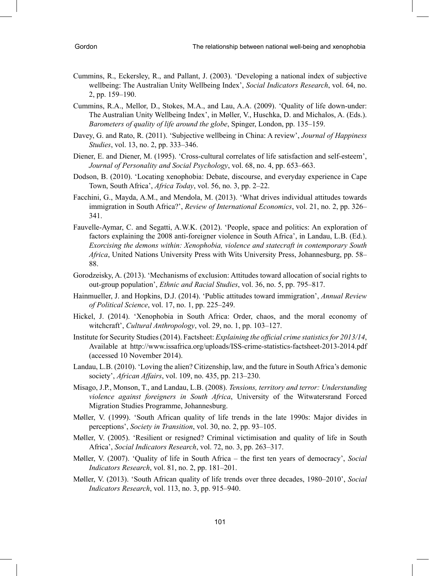- Cummins, R., Eckersley, R., and Pallant, J. (2003). 'Developing a national index of subjective wellbeing: The Australian Unity Wellbeing Index', *Social Indicators Research*, vol. 64, no. 2, pp. 159–190.
- Cummins, R.A., Mellor, D., Stokes, M.A., and Lau, A.A. (2009). 'Quality of life down-under: The Australian Unity Wellbeing Index', in Møller, V., Huschka, D. and Michalos, A. (Eds.). *Barometers of quality of life around the globe*, Spinger, London, pp. 135–159.
- Davey, G. and Rato, R. (2011). 'Subjective wellbeing in China: A review', *Journal of Happiness Studies*, vol. 13, no. 2, pp. 333–346.
- Diener, E. and Diener, M. (1995). 'Cross-cultural correlates of life satisfaction and self-esteem', *Journal of Personality and Social Psychology*, vol. 68, no. 4, pp. 653–663.
- Dodson, B. (2010). 'Locating xenophobia: Debate, discourse, and everyday experience in Cape Town, South Africa', *Africa Today*, vol. 56, no. 3, pp. 2–22.
- Facchini, G., Mayda, A.M., and Mendola, M. (2013). 'What drives individual attitudes towards immigration in South Africa?', *Review of International Economics*, vol. 21, no. 2, pp. 326– 341.
- Fauvelle-Aymar, C. and Segatti, A.W.K. (2012). 'People, space and politics: An exploration of factors explaining the 2008 anti-foreigner violence in South Africa', in Landau, L.B. (Ed.). *Exorcising the demons within: Xenophobia, violence and statecraft in contemporary South Africa*, United Nations University Press with Wits University Press, Johannesburg, pp. 58– 88.
- Gorodzeisky, A. (2013). 'Mechanisms of exclusion: Attitudes toward allocation of social rights to out-group population', *Ethnic and Racial Studies*, vol. 36, no. 5, pp. 795–817.
- Hainmueller, J. and Hopkins, D.J. (2014). 'Public attitudes toward immigration', *Annual Review of Political Science*, vol. 17, no. 1, pp. 225–249.
- Hickel, J. (2014). 'Xenophobia in South Africa: Order, chaos, and the moral economy of witchcraft', *Cultural Anthropology*, vol. 29, no. 1, pp. 103–127.
- Institute for Security Studies (2014). Factsheet: *Explaining the official crime statistics for 2013/14*, Available at http://www.issafrica.org/uploads/ISS-crime-statistics-factsheet-2013-2014.pdf (accessed 10 November 2014).
- Landau, L.B. (2010). 'Loving the alien? Citizenship, law, and the future in South Africa's demonic society', *African Affairs*, vol. 109, no. 435, pp. 213–230.
- Misago, J.P., Monson, T., and Landau, L.B. (2008). *Tensions, territory and terror: Understanding violence against foreigners in South Africa*, University of the Witwatersrand Forced Migration Studies Programme, Johannesburg.
- Møller, V. (1999). 'South African quality of life trends in the late 1990s: Major divides in perceptions', *Society in Transition*, vol. 30, no. 2, pp. 93–105.
- Møller, V. (2005). 'Resilient or resigned? Criminal victimisation and quality of life in South Africa', *Social Indicators Research*, vol. 72, no. 3, pp. 263–317.
- Møller, V. (2007). 'Quality of life in South Africa the first ten years of democracy', *Social Indicators Research*, vol. 81, no. 2, pp. 181–201.
- Møller, V. (2013). 'South African quality of life trends over three decades, 1980–2010', *Social Indicators Research*, vol. 113, no. 3, pp. 915–940.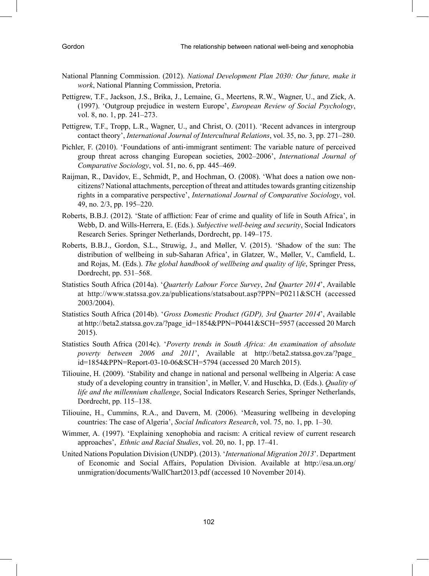- National Planning Commission. (2012). *National Development Plan 2030: Our future, make it work*, National Planning Commission, Pretoria.
- Pettigrew, T.F., Jackson, J.S., Brika, J., Lemaine, G., Meertens, R.W., Wagner, U., and Zick, A. (1997). 'Outgroup prejudice in western Europe', *European Review of Social Psychology*, vol. 8, no. 1, pp. 241–273.
- Pettigrew, T.F., Tropp, L.R., Wagner, U., and Christ, O. (2011). 'Recent advances in intergroup contact theory', *International Journal of Intercultural Relations*, vol. 35, no. 3, pp. 271–280.
- Pichler, F. (2010). 'Foundations of anti-immigrant sentiment: The variable nature of perceived group threat across changing European societies, 2002–2006', *International Journal of Comparative Sociology*, vol. 51, no. 6, pp. 445–469.
- Raijman, R., Davidov, E., Schmidt, P., and Hochman, O. (2008). 'What does a nation owe noncitizens? National attachments, perception of threat and attitudes towards granting citizenship rights in a comparative perspective', *International Journal of Comparative Sociology*, vol. 49, no. 2/3, pp. 195–220.
- Roberts, B.B.J. (2012). 'State of affliction: Fear of crime and quality of life in South Africa', in Webb, D. and Wills-Herrera, E. (Eds.). *Subjective well-being and security*, Social Indicators Research Series. Springer Netherlands, Dordrecht, pp. 149–175.
- Roberts, B.B.J., Gordon, S.L., Struwig, J., and Møller, V. (2015). 'Shadow of the sun: The distribution of wellbeing in sub-Saharan Africa', in Glatzer, W., Møller, V., Camfield, L. and Rojas, M. (Eds.). *The global handbook of wellbeing and quality of life*, Springer Press, Dordrecht, pp. 531–568.
- Statistics South Africa (2014a). '*Quarterly Labour Force Survey*, *2nd Quarter 2014*', Available at http://www.statssa.gov.za/publications/statsabout.asp?PPN=P0211&SCH (accessed 2003/2004).
- Statistics South Africa (2014b). '*Gross Domestic Product (GDP), 3rd Quarter 2014*', Available at http://beta2.statssa.gov.za/?page\_id=1854&PPN=P0441&SCH=5957 (accessed 20 March 2015).
- Statistics South Africa (2014c). '*Poverty trends in South Africa: An examination of absolute poverty between 2006 and 2011*', Available at http://beta2.statssa.gov.za/?page\_ id=1854&PPN=Report-03-10-06&SCH=5794 (accessed 20 March 2015).
- Tiliouine, H. (2009). 'Stability and change in national and personal wellbeing in Algeria: A case study of a developing country in transition', in Møller, V. and Huschka, D. (Eds.). *Quality of life and the millennium challenge*, Social Indicators Research Series, Springer Netherlands, Dordrecht, pp. 115–138.
- Tiliouine, H., Cummins, R.A., and Davern, M. (2006). 'Measuring wellbeing in developing countries: The case of Algeria', *Social Indicators Research*, vol. 75, no. 1, pp. 1–30.
- Wimmer, A. (1997). 'Explaining xenophobia and racism: A critical review of current research approaches', *Ethnic and Racial Studies*, vol. 20, no. 1, pp. 17–41.
- United Nations Population Division (UNDP). (2013). '*International Migration 2013*'. Department of Economic and Social Affairs, Population Division. Available at http://esa.un.org/ unmigration/documents/WallChart2013.pdf (accessed 10 November 2014).